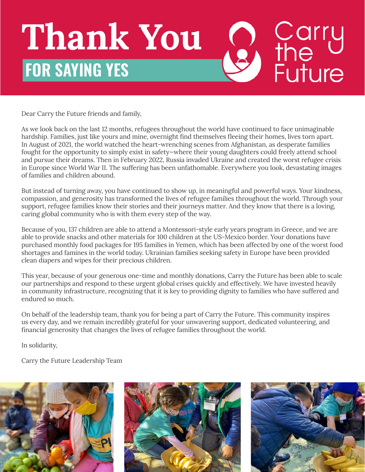## Carry<br>
the<br>
Future **Thank You FOR SAYING YES**

Dear Carry the Future friends and family,

As we look back on the last 12 months, refugees throughout the world have continued to face unimaginable hardship. Families, just like yours and mine, overnight find themselves fleeing their homes, lives torn apart. In August of 2021, the world watched the heart-wrenching scenes from Afghanistan, as desperate families fought for the opportunity to simply exist in safety—where their young daughters could freely attend school and pursue their dreams. Then in February 2022, Russia invaded Ukraine and created the worst refugee crisis in Europe since World War II. The suffering has been unfathomable. Everywhere you look, devastating images of families and children abound.

But instead of turning away, you have continued to show up, in meaningful and powerful ways. Your kindness, compassion, and generosity has transformed the lives of refugee families throughout the world. Through your support, refugee families know their stories and their journeys matter. And they know that there is a loving, caring global community who is with them every step of the way.

Because of you, 137 children are able to attend a Montessori-style early years program in Greece, and we are able to provide snacks and other materials for 100 children at the US-Mexico border. Your donations have purchased monthly food packages for 195 families in Yemen, which has been affected by one of the worst food shortages and famines in the world today. Ukrainian families seeking safety in Europe have been provided clean diapers and wipes for their precious children.

This year, because of your generous one-time and monthly donations, Carry the Future has been able to scale our partnerships and respond to these urgent global crises quickly and effectively. We have invested heavily in community infrastructure, recognizing that it is key to providing dignity to families who have suffered and endured so much.

On behalf of the leadership team, thank you for being a part of Carry the Future. This community inspires us every day, and we remain incredibly grateful for your unwavering support, dedicated volunteering, and financial generosity that changes the lives of refugee families throughout the world.

In solidarity,

Carry the Future Leadership Team

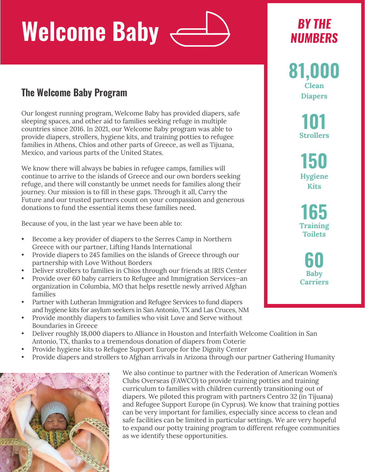## **Welcome Baby**

### **The Welcome Baby Program**

Our longest running program, Welcome Baby has provided diapers, safe sleeping spaces, and other aid to families seeking refuge in multiple countries since 2016. In 2021, our Welcome Baby program was able to provide diapers, strollers, hygiene kits, and training potties to refugee families in Athens, Chios and other parts of Greece, as well as Tijuana, Mexico, and various parts of the United States.

We know there will always be babies in refugee camps, families will continue to arrive to the islands of Greece and our own borders seeking refuge, and there will constantly be unmet needs for families along their journey. Our mission is to fill in these gaps. Through it all, Carry the Future and our trusted partners count on your compassion and generous donations to fund the essential items these families need.

Because of you, in the last year we have been able to:

- Become a key provider of diapers to the Serres Camp in Northern Greece with our partner, Lifting Hands International
- Provide diapers to 245 families on the islands of Greece through our partnership with Love Without Borders
- Deliver strollers to families in Chios through our friends at IRIS Center
- Provide over 60 baby carriers to Refugee and Immigration Services—an organization in Columbia, MO that helps resettle newly arrived Afghan families
- Partner with Lutheran Immigration and Refugee Services to fund diapers and hygiene kits for asylum seekers in San Antonio, TX and Las Cruces, NM
- Provide monthly diapers to families who visit Love and Serve without Boundaries in Greece
- Deliver roughly 18,000 diapers to Alliance in Houston and Interfaith Welcome Coalition in San Antonio, TX, thanks to a tremendous donation of diapers from Coterie
- Provide hygiene kits to Refugee Support Europe for the Dignity Center
- Provide diapers and strollers to Afghan arrivals in Arizona through our partner Gathering Humanity



We also continue to partner with the Federation of American Women's Clubs Overseas (FAWCO) to provide training potties and training curriculum to families with children currently transitioning out of diapers. We piloted this program with partners Centro 32 (in Tijuana) and Refugee Support Europe (in Cyprus). We know that training potties can be very important for families, especially since access to clean and safe facilities can be limited in particular settings. We are very hopeful to expand our potty training program to different refugee communities as we identify these opportunities.

## *BY THE NUMBERS*

**81,000 Clean Diapers**

> **101 Strollers**

**150 Hygiene Kits**

**165 Training Toilets**

**60 Baby Carriers**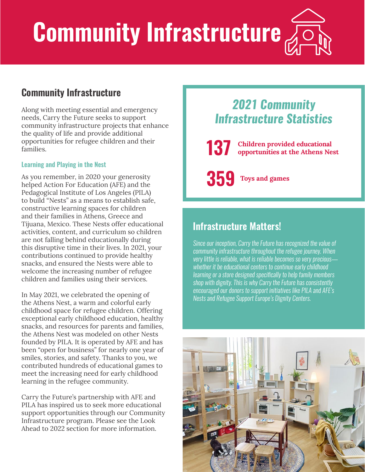# **Community Infrastructure**

### **Community Infrastructure**

Along with meeting essential and emergency needs, Carry the Future seeks to support community infrastructure projects that enhance the quality of life and provide additional opportunities for refugee children and their families.

### **Learning and Playing in the Nest**

As you remember, in 2020 your generosity helped Action For Education (AFE) and the Pedagogical Institute of Los Angeles (PILA) to build "Nests" as a means to establish safe, constructive learning spaces for children and their families in Athens, Greece and Tijuana, Mexico. These Nests offer educational activities, content, and curriculum so children are not falling behind educationally during this disruptive time in their lives. In 2021, your contributions continued to provide healthy snacks, and ensured the Nests were able to welcome the increasing number of refugee children and families using their services.

In May 2021, we celebrated the opening of the Athens Nest, a warm and colorful early childhood space for refugee children. Offering exceptional early childhood education, healthy snacks, and resources for parents and families, the Athens Nest was modeled on other Nests founded by PILA. It is operated by AFE and has been "open for business" for nearly one year of smiles, stories, and safety. Thanks to you, we contributed hundreds of educational games to meet the increasing need for early childhood learning in the refugee community.

Carry the Future's partnership with AFE and PILA has inspired us to seek more educational support opportunities through our Community Infrastructure program. Please see the Look Ahead to 2022 section for more information.

## *2021 Community Infrastructure Statistics*

**137 Children provided educational opportunities at the Athens Nest**

**359 Toys and games**

## **Infrastructure Matters!**

*Since our inception, Carry the Future has recognized the value of community infrastructure throughout the refugee journey. When very little is reliable, what is reliable becomes so very precious whether it be educational centers to continue early childhood learning or a store designed specifically to help family members shop with dignity. This is why Carry the Future has consistently encouraged our donors to support initiatives like PILA and AFE's Nests and Refugee Support Europe's Dignity Centers.*

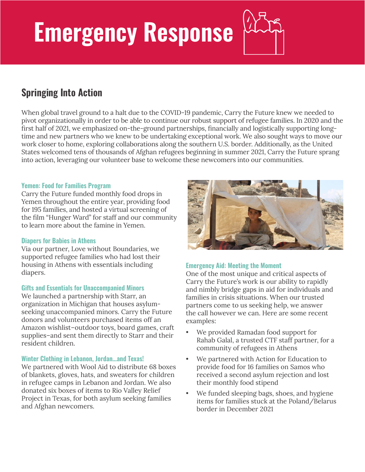## **Emergency Response**

## **Springing Into Action**

When global travel ground to a halt due to the COVID-19 pandemic, Carry the Future knew we needed to pivot organizationally in order to be able to continue our robust support of refugee families. In 2020 and the first half of 2021, we emphasized on-the-ground partnerships, financially and logistically supporting longtime and new partners who we knew to be undertaking exceptional work. We also sought ways to move our work closer to home, exploring collaborations along the southern U.S. border. Additionally, as the United States welcomed tens of thousands of Afghan refugees beginning in summer 2021, Carry the Future sprang into action, leveraging our volunteer base to welcome these newcomers into our communities.

### **Yemen: Food for Families Program**

Carry the Future funded monthly food drops in Yemen throughout the entire year, providing food for 195 families, and hosted a virtual screening of the film "Hunger Ward" for staff and our community to learn more about the famine in Yemen.

### **Diapers for Babies in Athens**

Via our partner, Love without Boundaries, we supported refugee families who had lost their housing in Athens with essentials including diapers.

### **Gifts and Essentials for Unaccompanied Minors**

We launched a partnership with Starr, an organization in Michigan that houses asylumseeking unaccompanied minors. Carry the Future donors and volunteers purchased items off an Amazon wishlist–outdoor toys, board games, craft supplies–and sent them directly to Starr and their resident children.

### **Winter Clothing in Lebanon, Jordan…and Texas!**

We partnered with Wool Aid to distribute 68 boxes of blankets, gloves, hats, and sweaters for children in refugee camps in Lebanon and Jordan. We also donated six boxes of items to Rio Valley Relief Project in Texas, for both asylum seeking families and Afghan newcomers.



### **Emergency Aid: Meeting the Moment**

One of the most unique and critical aspects of Carry the Future's work is our ability to rapidly and nimbly bridge gaps in aid for individuals and families in crisis situations. When our trusted partners come to us seeking help, we answer the call however we can. Here are some recent examples:

- We provided Ramadan food support for Rahab Galal, a trusted CTF staff partner, for a community of refugees in Athens
- We partnered with Action for Education to provide food for 16 families on Samos who received a second asylum rejection and lost their monthly food stipend
- We funded sleeping bags, shoes, and hygiene items for families stuck at the Poland/Belarus border in December 2021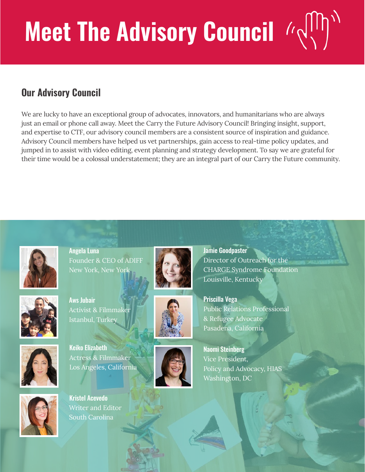# **Meet The Advisory Council**  $\left|\sqrt{\frac{1}{2}}\right|$

## **Our Advisory Council**

We are lucky to have an exceptional group of advocates, innovators, and humanitarians who are always just an email or phone call away. Meet the Carry the Future Advisory Council! Bringing insight, support, and expertise to CTF, our advisory council members are a consistent source of inspiration and guidance. Advisory Council members have helped us vet partnerships, gain access to real-time policy updates, and jumped in to assist with video editing, event planning and strategy development. To say we are grateful for their time would be a colossal understatement; they are an integral part of our Carry the Future community.



Angela Luna Founder & CEO of ADIFF New York, New Yor



Aws Jubair Activist & Filmmak<mark>e</mark>r Istanbul, Turkey



Keiko Elizabeth Actress & Filmmaker Los Angeles, California



Kristel Acevedo Writer and Editor South Carolina







Jamie Goodpaster Director of Outreach for the CHARGE Syndrome Foundation Louisville, Kentucky

Priscilla Vega Public Relations Professional & Refugee Advocate Pasadena, California

Naomi Steinberg Vice President, Policy and Advocacy, HIAS Washington, DC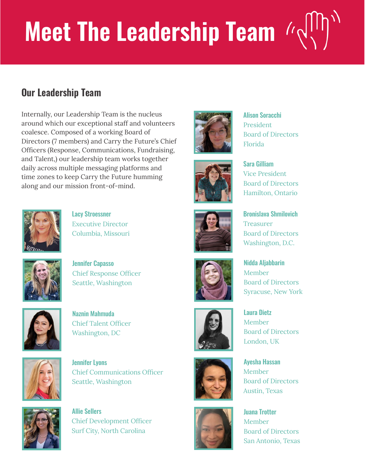# **Meet The Leadership Team**  $\left|\left(\sqrt{1/2}\right)\right|$

## **Our Leadership Team**

Internally, our Leadership Team is the nucleus around which our exceptional staff and volunteers coalesce. Composed of a working Board of Directors (7 members) and Carry the Future's Chief Officers (Response, Communications, Fundraising, and Talent,) our leadership team works together daily across multiple messaging platforms and time zones to keep Carry the Future humming along and our mission front-of-mind.



Lacy Stroessner Executive Director Columbia, Missouri



Jennifer Capasso Chief Response Officer Seattle, Washington



Naznin Mahmuda Chief Talent Officer Washington, DC



Jennifer Lyons Chief Communications Officer Seattle, Washington



Allie Sellers Chief Development Officer Surf City, North Carolina

















Alison Soracchi President Board of Directors Florida

Sara Gilliam Vice President Board of Directors Hamilton, Ontario

Bronislava Shmilovich Treasurer Board of Directors Washington, D.C.

Nidda Aljabbarin Member Board of Directors Syracuse, New York

Laura Dietz Member Board of Directors London, UK

Ayesha Hassan Member Board of Directors Austin, Texas

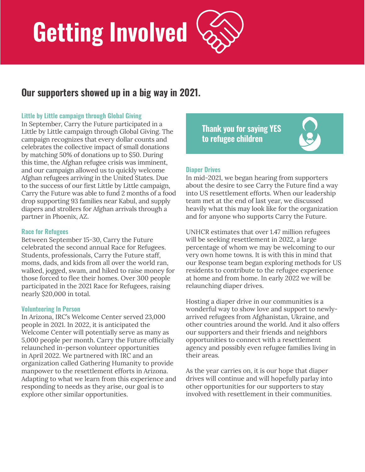# **Getting Involved**

### **Our supporters showed up in a big way in 2021.**

### **Little by Little campaign through Global Giving**

In September, Carry the Future participated in a Little by Little campaign through Global Giving. The campaign recognizes that every dollar counts and celebrates the collective impact of small donations by matching 50% of donations up to \$50. During this time, the Afghan refugee crisis was imminent, and our campaign allowed us to quickly welcome Afghan refugees arriving in the United States. Due to the success of our first Little by Little campaign, Carry the Future was able to fund 2 months of a food drop supporting 93 families near Kabul, and supply diapers and strollers for Afghan arrivals through a partner in Phoenix, AZ.

### **Race for Refugees**

Between September 15-30, Carry the Future celebrated the second annual Race for Refugees. Students, professionals, Carry the Future staff, moms, dads, and kids from all over the world ran, walked, jogged, swam, and hiked to raise money for those forced to flee their homes. Over 300 people participated in the 2021 Race for Refugees, raising nearly \$20,000 in total.

### **Volunteering In Person**

In Arizona, IRC's Welcome Center served 23,000 people in 2021. In 2022, it is anticipated the Welcome Center will potentially serve as many as 5,000 people per month. Carry the Future officially relaunched in-person volunteer opportunities in April 2022. We partnered with IRC and an organization called Gathering Humanity to provide manpower to the resettlement efforts in Arizona. Adapting to what we learn from this experience and responding to needs as they arise, our goal is to explore other similar opportunities.

**Thank you for saying YES to refugee children**

#### **Diaper Drives**

In mid-2021, we began hearing from supporters about the desire to see Carry the Future find a way into US resettlement efforts. When our leadership team met at the end of last year, we discussed heavily what this may look like for the organization and for anyone who supports Carry the Future.

UNHCR estimates that over 1.47 million refugees will be seeking resettlement in 2022, a large percentage of whom we may be welcoming to our very own home towns. It is with this in mind that our Response team began exploring methods for US residents to contribute to the refugee experience at home and from home. In early 2022 we will be relaunching diaper drives.

Hosting a diaper drive in our communities is a wonderful way to show love and support to newlyarrived refugees from Afghanistan, Ukraine, and other countries around the world. And it also offers our supporters and their friends and neighbors opportunities to connect with a resettlement agency and possibly even refugee families living in their areas.

As the year carries on, it is our hope that diaper drives will continue and will hopefully parlay into other opportunities for our supporters to stay involved with resettlement in their communities.